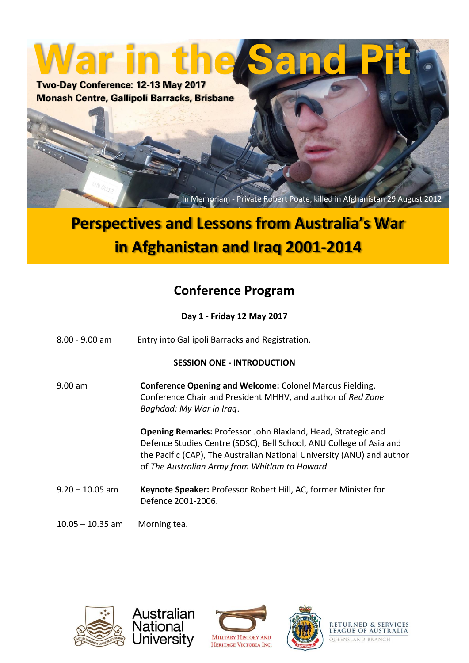**War in the Sand Pit Two-Day Conference: 12-13 May 2017**

**Monash Centre, Gallipoli Barracks, Brisbane**

In Memoriam - Private Robert Poate, killed in Afghanistan 29 August 2012

## **Perspectives and Lessons from Australia's War in Afghanistan and Iraq 2001-2014**

### **Conference Program**

**Day 1 - Friday 12 May 2017**

8.00 - 9.00 am Entry into Gallipoli Barracks and Registration.

### **SESSION ONE - INTRODUCTION**

9.00 am **Conference Opening and Welcome:** Colonel Marcus Fielding, Conference Chair and President MHHV, and author of *Red Zone Baghdad: My War in Iraq*.

> **Opening Remarks:** Professor John Blaxland, Head, Strategic and Defence Studies Centre (SDSC), Bell School, ANU College of Asia and the Pacific (CAP), The Australian National University (ANU) and author of *The Australian Army from Whitlam to Howard.*

- 9.20 10.05 am **Keynote Speaker:** Professor Robert Hill, AC, former Minister for Defence 2001-2006.
- 10.05 10.35 am Morning tea.

Australian **National** 

University







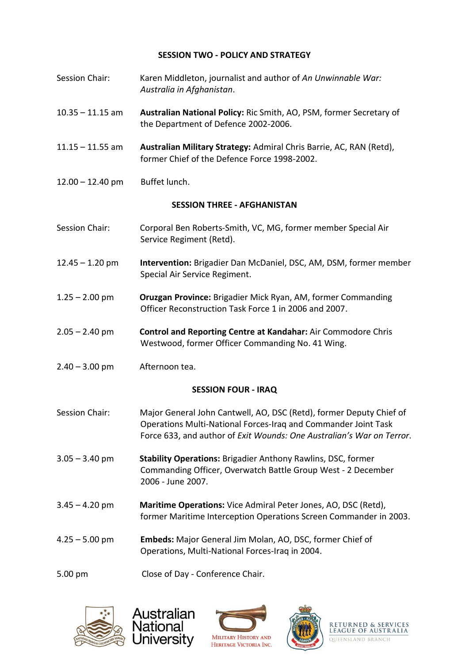#### **SESSION TWO - POLICY AND STRATEGY**

- Session Chair: Karen Middleton, journalist and author of *An Unwinnable War: Australia in Afghanistan*.
- 10.35 11.15 am **Australian National Policy:** Ric Smith, AO, PSM, former Secretary of the Department of Defence 2002-2006.
- 11.15 11.55 am **Australian Military Strategy:** Admiral Chris Barrie, AC, RAN (Retd), former Chief of the Defence Force 1998-2002.
- 12.00 12.40 pm Buffet lunch.

### **SESSION THREE - AFGHANISTAN**

- Session Chair: Corporal Ben Roberts-Smith, VC, MG, former member Special Air Service Regiment (Retd).
- 12.45 1.20 pm **Intervention:** Brigadier Dan McDaniel, DSC, AM, DSM, former member Special Air Service Regiment.
- 1.25 2.00 pm **Oruzgan Province:** Brigadier Mick Ryan, AM, former Commanding Officer Reconstruction Task Force 1 in 2006 and 2007.
- 2.05 2.40 pm **Control and Reporting Centre at Kandahar:** Air Commodore Chris Westwood, former Officer Commanding No. 41 Wing.
- $2.40 3.00$  pm Afternoon tea.

### **SESSION FOUR - IRAQ**

- Session Chair: Major General John Cantwell, AO, DSC (Retd), former Deputy Chief of Operations Multi-National Forces-Iraq and Commander Joint Task Force 633, and author of *Exit Wounds: One Australian's War on Terror*.
- 3.05 3.40 pm **Stability Operations:** Brigadier Anthony Rawlins, DSC, former Commanding Officer, Overwatch Battle Group West - 2 December 2006 - June 2007.
- 3.45 4.20 pm **Maritime Operations:** Vice Admiral Peter Jones, AO, DSC (Retd), former Maritime Interception Operations Screen Commander in 2003.
- 4.25 5.00 pm **Embeds:** Major General Jim Molan, AO, DSC, former Chief of Operations, Multi-National Forces-Iraq in 2004.
- 5.00 pm Close of Day Conference Chair.

Australian

National Jniversity







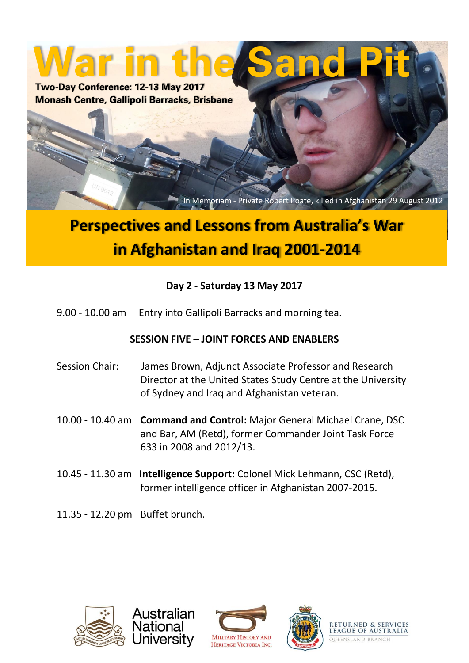**War in the Sand Pit Two-Day Conference: 12-13 May 2017 Monash Centre, Gallipoli Barracks, Brisbane**

In Memoriam - Private Robert Poate, killed in Afghanistan 29 August 2012

# **Conference Program in Afghanistan and Iraq 2001-2014 Perspectives and Lessons from Australia's War**

### **Day 2 - Saturday 13 May 2017**

9.00 - 10.00 am Entry into Gallipoli Barracks and morning tea.

### **SESSION FIVE – JOINT FORCES AND ENABLERS**

- Session Chair: James Brown, Adjunct Associate Professor and Research Director at the United States Study Centre at the University of Sydney and Iraq and Afghanistan veteran.
- 10.00 10.40 am **Command and Control:** Major General Michael Crane, DSC and Bar, AM (Retd), former Commander Joint Task Force 633 in 2008 and 2012/13.
- 10.45 11.30 am **Intelligence Support:** Colonel Mick Lehmann, CSC (Retd), former intelligence officer in Afghanistan 2007-2015.
- 11.35 12.20 pm Buffet brunch.

Australian

National Jniversitv